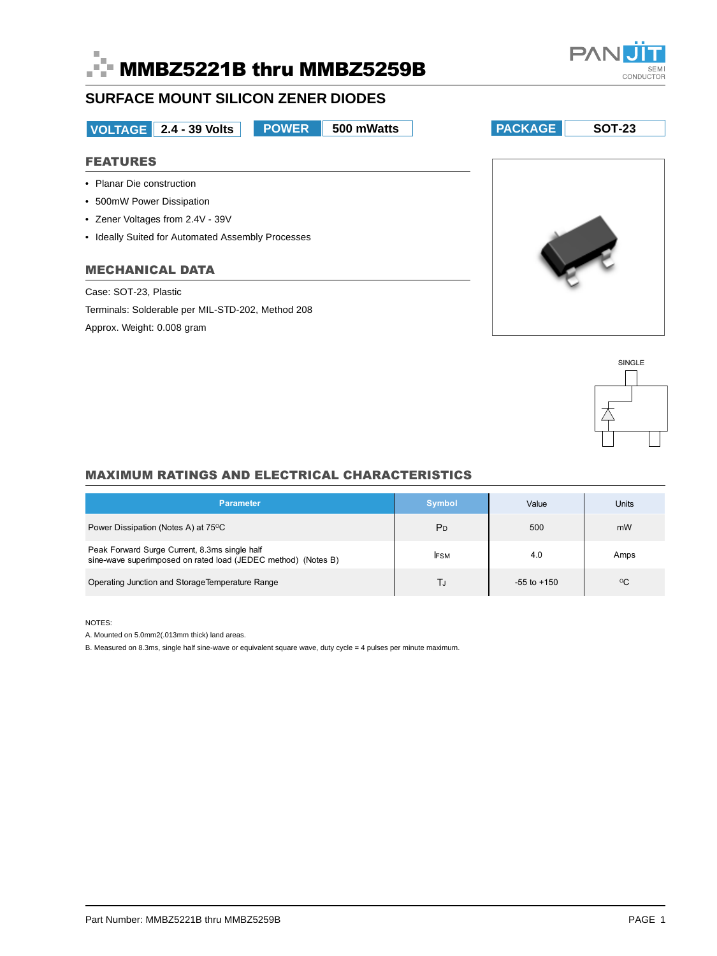



# **SURFACE MOUNT SILICON ZENER DIODES**

**VOLTAGE 2.4 - 39 Volts POWER** 

# **FEATURES**

- Planar Die construction
- 500mW Power Dissipation
- Zener Voltages from 2.4V 39V
- Ideally Suited for Automated Assembly Processes

# **MECHANICAL DATA**

Case: SOT-23, Plastic

Terminals: Solderable per MIL-STD-202, Method 208

Approx. Weight: 0.008 gram

SINGLE

# **MAXIMUM RATINGS AND ELECTRICAL CHARACTERISTICS**

| <b>Parameter</b>                                                                                               | <b>Symbol</b>  | Value           | <b>Units</b> |
|----------------------------------------------------------------------------------------------------------------|----------------|-----------------|--------------|
| Power Dissipation (Notes A) at 75°C                                                                            | P <sub>D</sub> | 500             | mW           |
| Peak Forward Surge Current, 8.3ms single half<br>sine-wave superimposed on rated load (JEDEC method) (Notes B) | <b>FSM</b>     | 4.0             | Amps         |
| Operating Junction and Storage Temperature Range                                                               | TJ             | $-55$ to $+150$ | $^{\circ}$ C |

NOTES:

A. Mounted on 5.0mm2(.013mm thick) land areas.

B. Measured on 8.3ms, single half sine-wave or equivalent square wave, duty cycle = 4 pulses per minute maximum.





**PACKAGE SOT-23** 

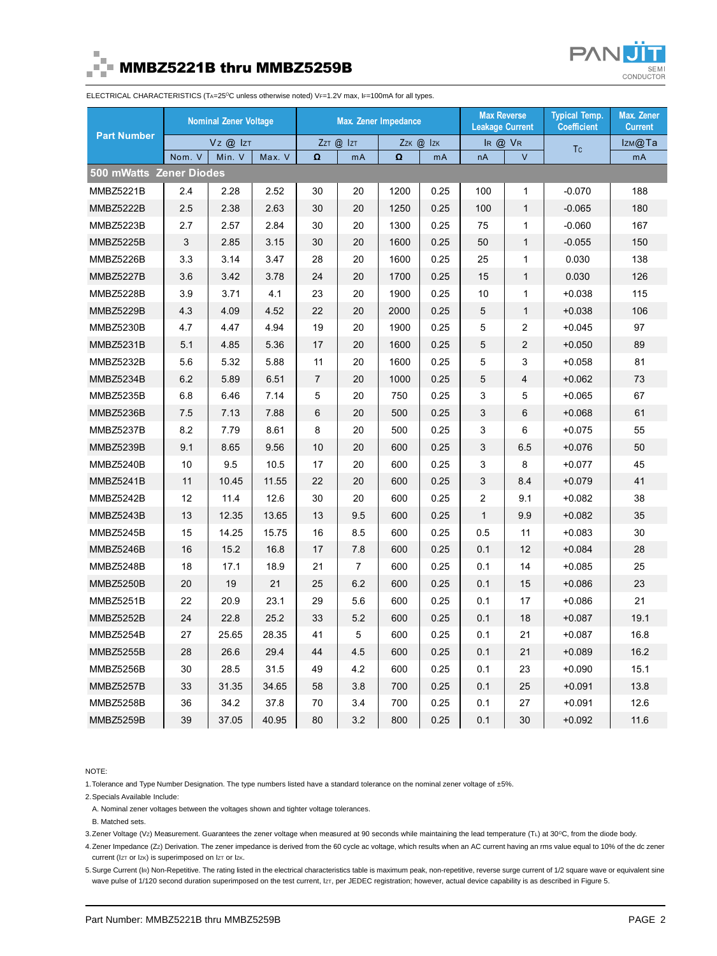

# MMBZ5221B thru MMBZ5259B



ELECTRICAL CHARACTERISTICS (TA=25°C unless otherwise noted) VF=1.2V max, IF=100mA for all types.

| <b>Part Number</b>      | <b>Nominal Zener Voltage</b> |        | <b>Max. Zener Impedance</b> |                |                     | <b>Max Reverse</b><br><b>Leakage Current</b> |               | <b>Typical Temp.</b><br><b>Coefficient</b> | Max. Zener<br><b>Current</b> |          |      |
|-------------------------|------------------------------|--------|-----------------------------|----------------|---------------------|----------------------------------------------|---------------|--------------------------------------------|------------------------------|----------|------|
|                         | $Vz$ $@$ $ z $               |        | $ZzT$ $\omega$ $ zT $       |                | $ZzK$ $\omega$ $zK$ |                                              | $IR$ $@$ $VR$ |                                            | <b>Tc</b>                    | Izм@Та   |      |
|                         | Nom. V                       | Min. V | Max. V                      | Ω              | mA                  | $\Omega$                                     | mA            | nA                                         | $\vee$                       |          | mA   |
| 500 mWatts Zener Diodes |                              |        |                             |                |                     |                                              |               |                                            |                              |          |      |
| <b>MMBZ5221B</b>        | 2.4                          | 2.28   | 2.52                        | 30             | 20                  | 1200                                         | 0.25          | 100                                        | $\mathbf{1}$                 | $-0.070$ | 188  |
| <b>MMBZ5222B</b>        | 2.5                          | 2.38   | 2.63                        | 30             | 20                  | 1250                                         | 0.25          | 100                                        | $\mathbf{1}$                 | $-0.065$ | 180  |
| <b>MMBZ5223B</b>        | 2.7                          | 2.57   | 2.84                        | 30             | 20                  | 1300                                         | 0.25          | 75                                         | $\mathbf{1}$                 | $-0.060$ | 167  |
| <b>MMBZ5225B</b>        | 3                            | 2.85   | 3.15                        | 30             | 20                  | 1600                                         | 0.25          | 50                                         | $\mathbf{1}$                 | $-0.055$ | 150  |
| MMBZ5226B               | 3.3                          | 3.14   | 3.47                        | 28             | 20                  | 1600                                         | 0.25          | 25                                         | $\mathbf{1}$                 | 0.030    | 138  |
| <b>MMBZ5227B</b>        | 3.6                          | 3.42   | 3.78                        | 24             | 20                  | 1700                                         | 0.25          | 15                                         | $\mathbf{1}$                 | 0.030    | 126  |
| <b>MMBZ5228B</b>        | 3.9                          | 3.71   | 4.1                         | 23             | 20                  | 1900                                         | 0.25          | 10                                         | 1                            | $+0.038$ | 115  |
| <b>MMBZ5229B</b>        | 4.3                          | 4.09   | 4.52                        | 22             | 20                  | 2000                                         | 0.25          | 5                                          | $\mathbf{1}$                 | $+0.038$ | 106  |
| <b>MMBZ5230B</b>        | 4.7                          | 4.47   | 4.94                        | 19             | 20                  | 1900                                         | 0.25          | 5                                          | $\overline{2}$               | $+0.045$ | 97   |
| MMBZ5231B               | 5.1                          | 4.85   | 5.36                        | 17             | 20                  | 1600                                         | 0.25          | 5                                          | $\overline{2}$               | $+0.050$ | 89   |
| <b>MMBZ5232B</b>        | 5.6                          | 5.32   | 5.88                        | 11             | 20                  | 1600                                         | 0.25          | 5                                          | 3                            | $+0.058$ | 81   |
| MMBZ5234B               | 6.2                          | 5.89   | 6.51                        | $\overline{7}$ | 20                  | 1000                                         | 0.25          | 5                                          | $\overline{4}$               | $+0.062$ | 73   |
| <b>MMBZ5235B</b>        | 6.8                          | 6.46   | 7.14                        | 5              | 20                  | 750                                          | 0.25          | 3                                          | 5                            | $+0.065$ | 67   |
| <b>MMBZ5236B</b>        | 7.5                          | 7.13   | 7.88                        | 6              | 20                  | 500                                          | 0.25          | 3                                          | 6                            | $+0.068$ | 61   |
| MMBZ5237B               | 8.2                          | 7.79   | 8.61                        | 8              | 20                  | 500                                          | 0.25          | 3                                          | 6                            | $+0.075$ | 55   |
| MMBZ5239B               | 9.1                          | 8.65   | 9.56                        | 10             | 20                  | 600                                          | 0.25          | 3                                          | 6.5                          | $+0.076$ | 50   |
| MMBZ5240B               | 10                           | 9.5    | 10.5                        | 17             | 20                  | 600                                          | 0.25          | 3                                          | 8                            | $+0.077$ | 45   |
| MMBZ5241B               | 11                           | 10.45  | 11.55                       | 22             | 20                  | 600                                          | 0.25          | 3                                          | 8.4                          | $+0.079$ | 41   |
| MMBZ5242B               | 12                           | 11.4   | 12.6                        | 30             | 20                  | 600                                          | 0.25          | $\overline{2}$                             | 9.1                          | $+0.082$ | 38   |
| MMBZ5243B               | 13                           | 12.35  | 13.65                       | 13             | 9.5                 | 600                                          | 0.25          | $\mathbf{1}$                               | 9.9                          | $+0.082$ | 35   |
| <b>MMBZ5245B</b>        | 15                           | 14.25  | 15.75                       | 16             | 8.5                 | 600                                          | 0.25          | 0.5                                        | 11                           | $+0.083$ | 30   |
| MMBZ5246B               | 16                           | 15.2   | 16.8                        | 17             | 7.8                 | 600                                          | 0.25          | 0.1                                        | 12                           | $+0.084$ | 28   |
| MMBZ5248B               | 18                           | 17.1   | 18.9                        | 21             | $\overline{7}$      | 600                                          | 0.25          | 0.1                                        | 14                           | $+0.085$ | 25   |
| MMBZ5250B               | 20                           | 19     | 21                          | 25             | 6.2                 | 600                                          | 0.25          | 0.1                                        | 15                           | $+0.086$ | 23   |
| <b>MMBZ5251B</b>        | 22                           | 20.9   | 23.1                        | 29             | 5.6                 | 600                                          | 0.25          | 0.1                                        | 17                           | $+0.086$ | 21   |
| <b>MMBZ5252B</b>        | 24                           | 22.8   | 25.2                        | 33             | 5.2                 | 600                                          | 0.25          | 0.1                                        | 18                           | $+0.087$ | 19.1 |
| MMBZ5254B               | 27                           | 25.65  | 28.35                       | 41             | 5                   | 600                                          | 0.25          | 0.1                                        | 21                           | $+0.087$ | 16.8 |
| MMBZ5255B               | 28                           | 26.6   | 29.4                        | 44             | 4.5                 | 600                                          | 0.25          | 0.1                                        | 21                           | $+0.089$ | 16.2 |
| MMBZ5256B               | 30                           | 28.5   | 31.5                        | 49             | 4.2                 | 600                                          | 0.25          | 0.1                                        | 23                           | $+0.090$ | 15.1 |
| MMBZ5257B               | 33                           | 31.35  | 34.65                       | 58             | 3.8                 | 700                                          | 0.25          | 0.1                                        | 25                           | $+0.091$ | 13.8 |
| MMBZ5258B               | 36                           | 34.2   | 37.8                        | 70             | 3.4                 | 700                                          | 0.25          | 0.1                                        | 27                           | $+0.091$ | 12.6 |
| <b>MMBZ5259B</b>        | 39                           | 37.05  | 40.95                       | 80             | 3.2                 | 800                                          | 0.25          | 0.1                                        | 30                           | $+0.092$ | 11.6 |

NOTE:

1. Tolerance and Type Number Designation. The type numbers listed have a standard tolerance on the nominal zener voltage of ±5%.

2.Specials Available Include:

A. Nominal zener voltages between the voltages shown and tighter voltage tolerances.

B. Matched sets.

3.Zener Voltage (Vz) Measurement. Guarantees the zener voltage when measured at 90 seconds while maintaining the lead temperature (TL) at 30°C, from the diode body.

4.Zener Impedance (ZZ) Derivation. The zener impedance is derived from the 60 cycle ac voltage, which results when an AC current having an rms value equal to 10% of the dc zener current (IzT or Izk) is superimposed on IzT or Izk.

5.Surge Current (IR) Non-Repetitive. The rating listed in the electrical characteristics table is maximum peak, non-repetitive, reverse surge current of 1/2 square wave or equivalent sine wave pulse of 1/120 second duration superimposed on the test current, IzT, per JEDEC registration; however, actual device capability is as described in Figure 5.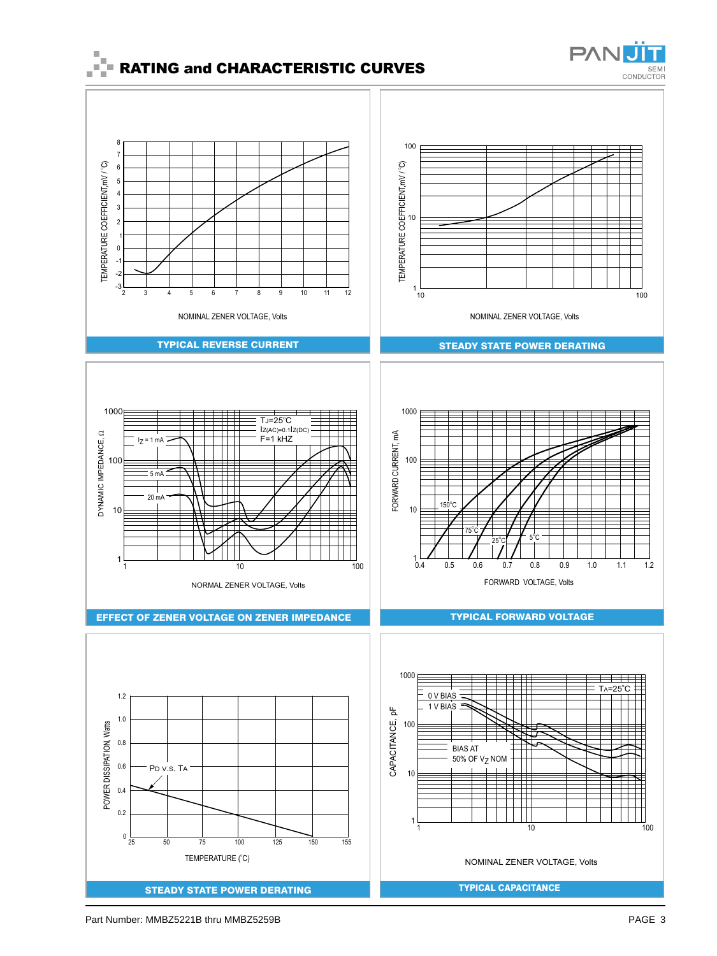



# TYPICAL REVERSE CURRENT

NOMINAL ZENER VOLTAGE, Volts

2 3 4 5 6 7 8 9 10 11 12

TEMPERATURE COEFFICIENT,mV / °C)

TEMPERATURE COEFFICIENT, mV / °C)

> -2 -3





EFFECT OF ZENER VOLTAGE ON ZENER IMPEDANCE





### TYPICAL FORWARD VOLTAGE



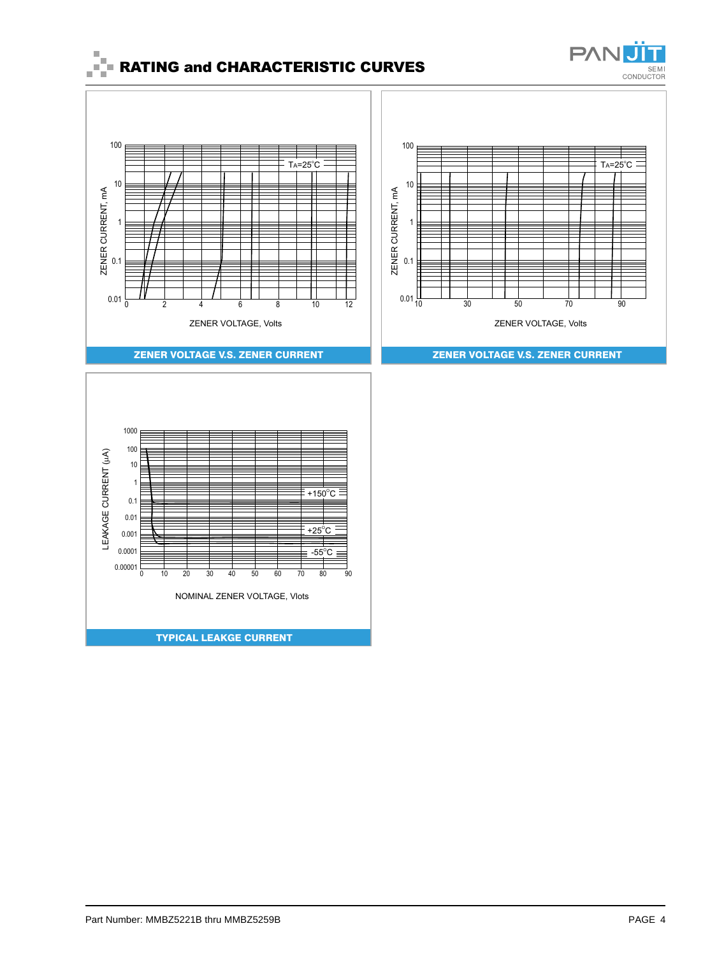

 $Ta = 25^\circ C$ 

# $\begin{array}{cc} \mathbb{I} & \mathbb{I} \\ \mathbb{I} & \mathbb{I} \end{array}$  RATING and CHARACTERISTIC CURVES